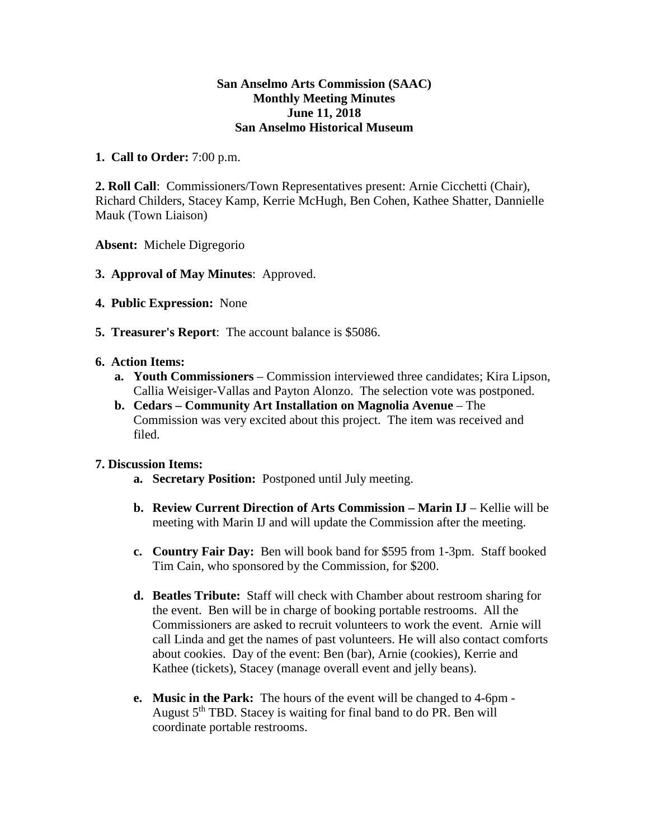## **San Anselmo Arts Commission (SAAC) Monthly Meeting Minutes June 11, 2018 San Anselmo Historical Museum**

## **1. Call to Order:** 7:00 p.m.

**2. Roll Call**: Commissioners/Town Representatives present: Arnie Cicchetti (Chair), Richard Childers, Stacey Kamp, Kerrie McHugh, Ben Cohen, Kathee Shatter, Dannielle Mauk (Town Liaison)

**Absent:** Michele Digregorio

- **3. Approval of May Minutes**: Approved.
- **4. Public Expression:** None
- **5. Treasurer's Report**: The account balance is \$5086.

## **6. Action Items:**

- **a. Youth Commissioners** Commission interviewed three candidates; Kira Lipson, Callia Weisiger-Vallas and Payton Alonzo. The selection vote was postponed.
- **b. Cedars – Community Art Installation on Magnolia Avenue** The Commission was very excited about this project. The item was received and filed.

## **7. Discussion Items:**

- **a. Secretary Position:** Postponed until July meeting.
- **b. Review Current Direction of Arts Commission – Marin IJ** Kellie will be meeting with Marin IJ and will update the Commission after the meeting.
- **c. Country Fair Day:** Ben will book band for \$595 from 1-3pm. Staff booked Tim Cain, who sponsored by the Commission, for \$200.
- **d. Beatles Tribute:** Staff will check with Chamber about restroom sharing for the event. Ben will be in charge of booking portable restrooms. All the Commissioners are asked to recruit volunteers to work the event. Arnie will call Linda and get the names of past volunteers. He will also contact comforts about cookies. Day of the event: Ben (bar), Arnie (cookies), Kerrie and Kathee (tickets), Stacey (manage overall event and jelly beans).
- **e. Music in the Park:** The hours of the event will be changed to 4-6pm August  $5<sup>th</sup>$  TBD. Stacey is waiting for final band to do PR. Ben will coordinate portable restrooms.